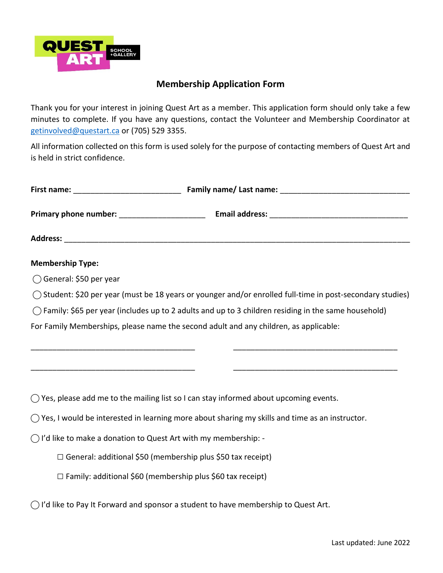

## **Membership Application Form**

Thank you for your interest in joining Quest Art as a member. This application form should only take a few minutes to complete. If you have any questions, contact the Volunteer and Membership Coordinator at [getinvolved@questart.ca](mailto:getinvolved@questart.ca) or (705) 529 3355.

All information collected on this form is used solely for the purpose of contacting members of Quest Art and is held in strict confidence.

| <b>Membership Type:</b>                                                   |                                                                                                                                                                                                                          |
|---------------------------------------------------------------------------|--------------------------------------------------------------------------------------------------------------------------------------------------------------------------------------------------------------------------|
| $\bigcirc$ General: \$50 per year                                         |                                                                                                                                                                                                                          |
|                                                                           | () Student: \$20 per year (must be 18 years or younger and/or enrolled full-time in post-secondary studies)                                                                                                              |
|                                                                           | $\bigcirc$ Family: \$65 per year (includes up to 2 adults and up to 3 children residing in the same household)                                                                                                           |
|                                                                           | For Family Memberships, please name the second adult and any children, as applicable:                                                                                                                                    |
|                                                                           | <u> 1989 - Johann Barn, mars ar yw i ganrif y cyfan y cynnwys y cynnwys y cynnwys y cynnwys y cynnwys y cynnwys y</u><br>$\bigcirc$ Yes, please add me to the mailing list so I can stay informed about upcoming events. |
|                                                                           |                                                                                                                                                                                                                          |
|                                                                           | $\bigcirc$ Yes, I would be interested in learning more about sharing my skills and time as an instructor.                                                                                                                |
| $\bigcirc$ I'd like to make a donation to Quest Art with my membership: - |                                                                                                                                                                                                                          |
|                                                                           | $\Box$ General: additional \$50 (membership plus \$50 tax receipt)                                                                                                                                                       |
| $\Box$ Family: additional \$60 (membership plus \$60 tax receipt)         |                                                                                                                                                                                                                          |
|                                                                           | $\bigcap$ I'd like to Pay It Forward and sponsor a student to have membership to Quest Art.                                                                                                                              |